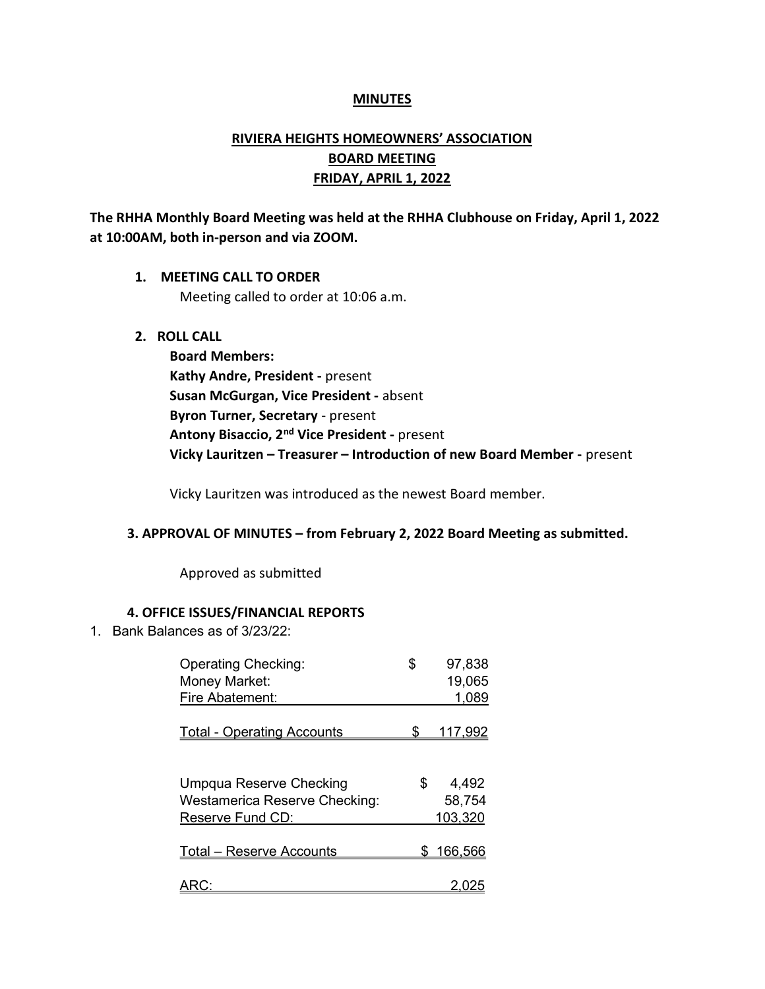### MINUTES

# RIVIERA HEIGHTS HOMEOWNERS' ASSOCIATION BOARD MEETING **FRIDAY, APRIL 1, 2022**

The RHHA Monthly Board Meeting was held at the RHHA Clubhouse on Friday, April 1, 2022 at 10:00AM, both in-person and via ZOOM.

## 1. MEETING CALL TO ORDER

Meeting called to order at 10:06 a.m.

## 2. ROLL CALL

Board Members: Kathy Andre, President - present Susan McGurgan, Vice President - absent Byron Turner, Secretary - present Antony Bisaccio, 2<sup>nd</sup> Vice President - present Vicky Lauritzen – Treasurer – Introduction of new Board Member - present

Vicky Lauritzen was introduced as the newest Board member.

### 3. APPROVAL OF MINUTES – from February 2, 2022 Board Meeting as submitted.

Approved as submitted

### 4. OFFICE ISSUES/FINANCIAL REPORTS

1. Bank Balances as of 3/23/22:

| <b>Operating Checking:</b>                               | \$ | 97,838            |
|----------------------------------------------------------|----|-------------------|
| Money Market:                                            |    | 19,065            |
| Fire Abatement:                                          |    | 1,089             |
| <b>Total - Operating Accounts</b>                        | S. | <u>117,992</u>    |
| <b>Umpqua Reserve Checking</b>                           | S  | 4,492             |
| <b>Westamerica Reserve Checking:</b><br>Reserve Fund CD: |    | 58,754<br>103,320 |
|                                                          |    |                   |
| <b>Total – Reserve Accounts</b>                          | \$ | 166,566           |
|                                                          |    |                   |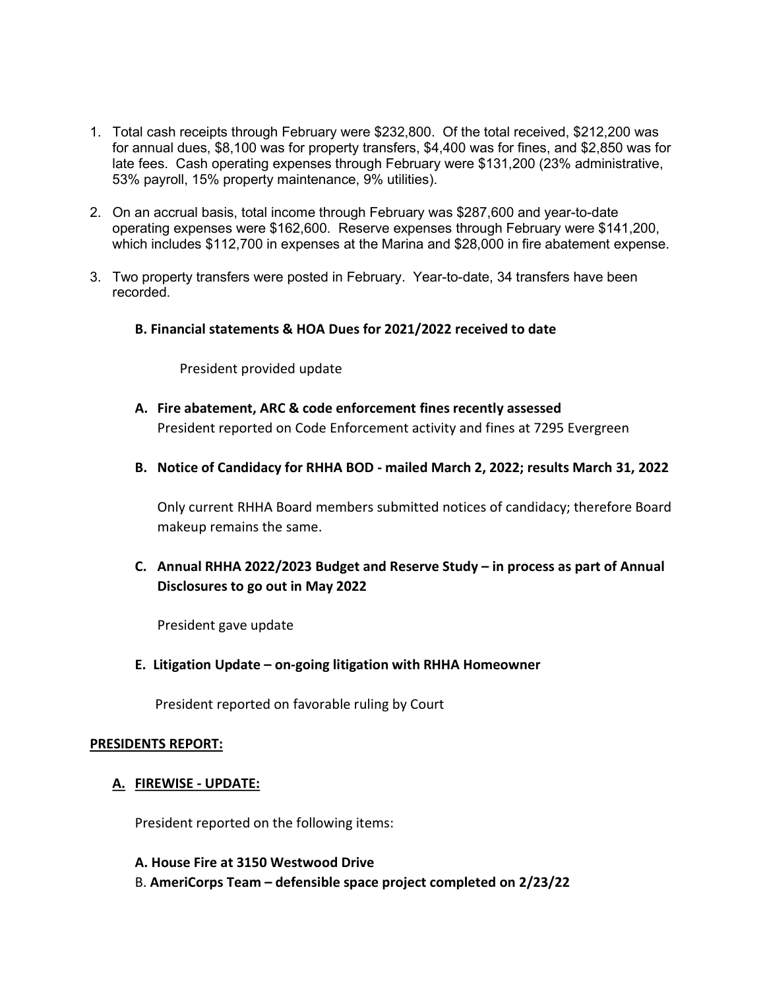- 1. Total cash receipts through February were \$232,800. Of the total received, \$212,200 was for annual dues, \$8,100 was for property transfers, \$4,400 was for fines, and \$2,850 was for late fees. Cash operating expenses through February were \$131,200 (23% administrative, 53% payroll, 15% property maintenance, 9% utilities).
- 2. On an accrual basis, total income through February was \$287,600 and year-to-date operating expenses were \$162,600. Reserve expenses through February were \$141,200, which includes \$112,700 in expenses at the Marina and \$28,000 in fire abatement expense.
- 3. Two property transfers were posted in February. Year-to-date, 34 transfers have been recorded.
	- B. Financial statements & HOA Dues for 2021/2022 received to date

President provided update

- A. Fire abatement, ARC & code enforcement fines recently assessed President reported on Code Enforcement activity and fines at 7295 Evergreen
- B. Notice of Candidacy for RHHA BOD mailed March 2, 2022; results March 31, 2022

Only current RHHA Board members submitted notices of candidacy; therefore Board makeup remains the same.

C. Annual RHHA 2022/2023 Budget and Reserve Study – in process as part of Annual Disclosures to go out in May 2022

President gave update

E. Litigation Update – on-going litigation with RHHA Homeowner

President reported on favorable ruling by Court

### PRESIDENTS REPORT:

A. FIREWISE - UPDATE:

President reported on the following items:

A. House Fire at 3150 Westwood Drive

B. AmeriCorps Team – defensible space project completed on 2/23/22